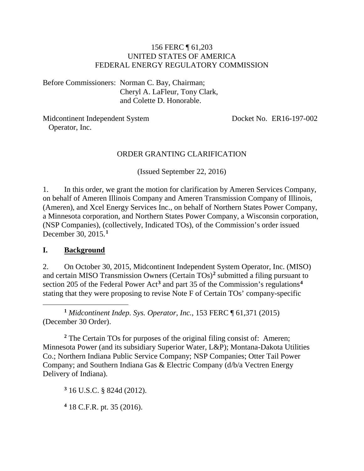#### 156 FERC ¶ 61,203 UNITED STATES OF AMERICA FEDERAL ENERGY REGULATORY COMMISSION

Before Commissioners: Norman C. Bay, Chairman; Cheryl A. LaFleur, Tony Clark, and Colette D. Honorable.

Midcontinent Independent System Operator, Inc.

Docket No. ER16-197-002

#### ORDER GRANTING CLARIFICATION

(Issued September 22, 2016)

1. In this order, we grant the motion for clarification by Ameren Services Company, on behalf of Ameren Illinois Company and Ameren Transmission Company of Illinois, (Ameren), and Xcel Energy Services Inc., on behalf of Northern States Power Company, a Minnesota corporation, and Northern States Power Company, a Wisconsin corporation, (NSP Companies), (collectively, Indicated TOs), of the Commission's order issued December 30, 2015.**[1](#page-0-0)**

#### **I. Background**

2. On October 30, 2015, Midcontinent Independent System Operator, Inc. (MISO) and certain MISO Transmission Owners (Certain TOs)**[2](#page-0-1)** submitted a filing pursuant to section 205 of the Federal Power Act**[3](#page-0-2)** and part 35 of the Commission's regulations**[4](#page-0-3)** stating that they were proposing to revise Note F of Certain TOs' company-specific

<span id="page-0-0"></span> $\overline{a}$ **<sup>1</sup>** *Midcontinent Indep. Sys. Operator, Inc.*, 153 FERC ¶ 61,371 (2015) (December 30 Order).

<span id="page-0-1"></span>**<sup>2</sup>** The Certain TOs for purposes of the original filing consist of: Ameren; Minnesota Power (and its subsidiary Superior Water, L&P); Montana-Dakota Utilities Co.; Northern Indiana Public Service Company; NSP Companies; Otter Tail Power Company; and Southern Indiana Gas & Electric Company (d/b/a Vectren Energy Delivery of Indiana).

<span id="page-0-2"></span>**<sup>3</sup>** 16 U.S.C. § 824d (2012).

<span id="page-0-3"></span>**<sup>4</sup>** 18 C.F.R. pt. 35 (2016).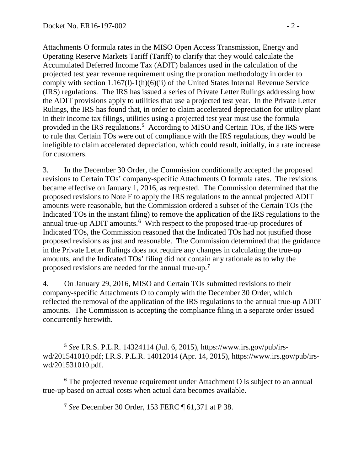Attachments O formula rates in the MISO Open Access Transmission, Energy and Operating Reserve Markets Tariff (Tariff) to clarify that they would calculate the Accumulated Deferred Income Tax (ADIT) balances used in the calculation of the projected test year revenue requirement using the proration methodology in order to comply with section 1.167(l)-1(h)(6)(ii) of the United States Internal Revenue Service (IRS) regulations. The IRS has issued a series of Private Letter Rulings addressing how the ADIT provisions apply to utilities that use a projected test year. In the Private Letter Rulings, the IRS has found that, in order to claim accelerated depreciation for utility plant in their income tax filings, utilities using a projected test year must use the formula provided in the IRS regulations.**[5](#page-1-0)** According to MISO and Certain TOs, if the IRS were to rule that Certain TOs were out of compliance with the IRS regulations, they would be ineligible to claim accelerated depreciation, which could result, initially, in a rate increase for customers.

3. In the December 30 Order, the Commission conditionally accepted the proposed revisions to Certain TOs' company-specific Attachments O formula rates. The revisions became effective on January 1, 2016, as requested. The Commission determined that the proposed revisions to Note F to apply the IRS regulations to the annual projected ADIT amounts were reasonable, but the Commission ordered a subset of the Certain TOs (the Indicated TOs in the instant filing) to remove the application of the IRS regulations to the annual true-up ADIT amounts.**[6](#page-1-1)** With respect to the proposed true-up procedures of Indicated TOs, the Commission reasoned that the Indicated TOs had not justified those proposed revisions as just and reasonable. The Commission determined that the guidance in the Private Letter Rulings does not require any changes in calculating the true-up amounts, and the Indicated TOs' filing did not contain any rationale as to why the proposed revisions are needed for the annual true-up.**[7](#page-1-2)**

4. On January 29, 2016, MISO and Certain TOs submitted revisions to their company-specific Attachments O to comply with the December 30 Order, which reflected the removal of the application of the IRS regulations to the annual true-up ADIT amounts. The Commission is accepting the compliance filing in a separate order issued concurrently herewith.

<span id="page-1-2"></span><span id="page-1-1"></span>**<sup>6</sup>** The projected revenue requirement under Attachment O is subject to an annual true-up based on actual costs when actual data becomes available.

**<sup>7</sup>** *See* December 30 Order, 153 FERC ¶ 61,371 at P 38.

<span id="page-1-0"></span> $\overline{a}$ **<sup>5</sup>** *See* I.R.S. P.L.R. 14324114 (Jul. 6, 2015), https://www.irs.gov/pub/irswd/201541010.pdf; I.R.S. P.L.R. 14012014 (Apr. 14, 2015), https://www.irs.gov/pub/irswd/201531010.pdf.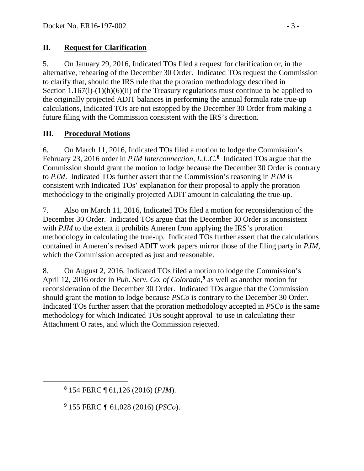#### **II. Request for Clarification**

5. On January 29, 2016, Indicated TOs filed a request for clarification or, in the alternative, rehearing of the December 30 Order. Indicated TOs request the Commission to clarify that, should the IRS rule that the proration methodology described in Section 1.167(1)-(1)(h)(6)(ii) of the Treasury regulations must continue to be applied to the originally projected ADIT balances in performing the annual formula rate true-up calculations, Indicated TOs are not estopped by the December 30 Order from making a future filing with the Commission consistent with the IRS's direction.

### **III. Procedural Motions**

6. On March 11, 2016, Indicated TOs filed a motion to lodge the Commission's February 23, 2016 order in *PJM Interconnection, L.L.C.***[8](#page-2-0)** Indicated TOs argue that the Commission should grant the motion to lodge because the December 30 Order is contrary to *PJM*. Indicated TOs further assert that the Commission's reasoning in *PJM* is consistent with Indicated TOs' explanation for their proposal to apply the proration methodology to the originally projected ADIT amount in calculating the true-up.

7. Also on March 11, 2016, Indicated TOs filed a motion for reconsideration of the December 30 Order. Indicated TOs argue that the December 30 Order is inconsistent with *PJM* to the extent it prohibits Ameren from applying the IRS's proration methodology in calculating the true-up. Indicated TOs further assert that the calculations contained in Ameren's revised ADIT work papers mirror those of the filing party in *PJM*, which the Commission accepted as just and reasonable.

8. On August 2, 2016, Indicated TOs filed a motion to lodge the Commission's April 12, 2016 order in *Pub. Serv. Co. of Colorado*, **[9](#page-2-1)** as well as another motion for reconsideration of the December 30 Order. Indicated TOs argue that the Commission should grant the motion to lodge because *PSCo* is contrary to the December 30 Order. Indicated TOs further assert that the proration methodology accepted in *PSCo* is the same methodology for which Indicated TOs sought approval to use in calculating their Attachment O rates, and which the Commission rejected.

<span id="page-2-1"></span><span id="page-2-0"></span> $\overline{a}$ 

**<sup>8</sup>** 154 FERC ¶ 61,126 (2016) (*PJM*).

**<sup>9</sup>** 155 FERC ¶ 61,028 (2016) (*PSCo*).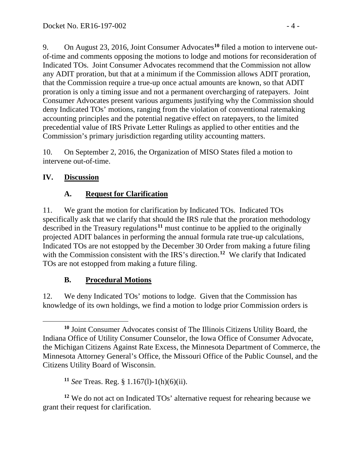9. On August 23, 2016, Joint Consumer Advocates**[10](#page-3-0)** filed a motion to intervene outof-time and comments opposing the motions to lodge and motions for reconsideration of Indicated TOs. Joint Consumer Advocates recommend that the Commission not allow any ADIT proration, but that at a minimum if the Commission allows ADIT proration, that the Commission require a true-up once actual amounts are known, so that ADIT proration is only a timing issue and not a permanent overcharging of ratepayers. Joint Consumer Advocates present various arguments justifying why the Commission should deny Indicated TOs' motions, ranging from the violation of conventional ratemaking accounting principles and the potential negative effect on ratepayers, to the limited precedential value of IRS Private Letter Rulings as applied to other entities and the Commission's primary jurisdiction regarding utility accounting matters.

10. On September 2, 2016, the Organization of MISO States filed a motion to intervene out-of-time.

## **IV. Discussion**

# **A. Request for Clarification**

11. We grant the motion for clarification by Indicated TOs. Indicated TOs specifically ask that we clarify that should the IRS rule that the proration methodology described in the Treasury regulations<sup>[11](#page-3-1)</sup> must continue to be applied to the originally projected ADIT balances in performing the annual formula rate true-up calculations, Indicated TOs are not estopped by the December 30 Order from making a future filing with the Commission consistent with the IRS's direction.<sup>[12](#page-3-2)</sup> We clarify that Indicated TOs are not estopped from making a future filing.

# **B. Procedural Motions**

12. We deny Indicated TOs' motions to lodge. Given that the Commission has knowledge of its own holdings, we find a motion to lodge prior Commission orders is

<span id="page-3-2"></span><span id="page-3-1"></span>**<sup>12</sup>** We do not act on Indicated TOs' alternative request for rehearing because we grant their request for clarification.

<span id="page-3-0"></span> $\overline{a}$ **<sup>10</sup>** Joint Consumer Advocates consist of The Illinois Citizens Utility Board, the Indiana Office of Utility Consumer Counselor, the Iowa Office of Consumer Advocate, the Michigan Citizens Against Rate Excess, the Minnesota Department of Commerce, the Minnesota Attorney General's Office, the Missouri Office of the Public Counsel, and the Citizens Utility Board of Wisconsin.

**<sup>11</sup>** *See* Treas. Reg. § 1.167(l)-1(h)(6)(ii).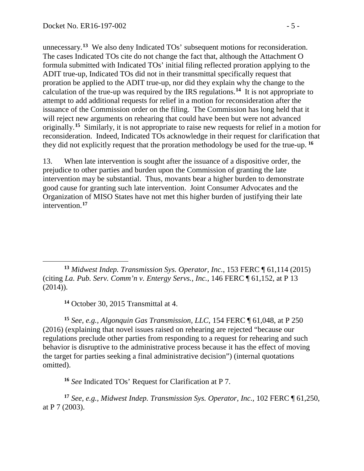unnecessary.**[13](#page-4-0)** We also deny Indicated TOs' subsequent motions for reconsideration. The cases Indicated TOs cite do not change the fact that, although the Attachment O formula submitted with Indicated TOs' initial filing reflected proration applying to the ADIT true-up, Indicated TOs did not in their transmittal specifically request that proration be applied to the ADIT true-up, nor did they explain why the change to the calculation of the true-up was required by the IRS regulations.**[14](#page-4-1)** It is not appropriate to attempt to add additional requests for relief in a motion for reconsideration after the issuance of the Commission order on the filing. The Commission has long held that it will reject new arguments on rehearing that could have been but were not advanced originally.**[15](#page-4-2)** Similarly, it is not appropriate to raise new requests for relief in a motion for reconsideration. Indeed, Indicated TOs acknowledge in their request for clarification that they did not explicitly request that the proration methodology be used for the true-up. **[16](#page-4-3)**

13. When late intervention is sought after the issuance of a dispositive order, the prejudice to other parties and burden upon the Commission of granting the late intervention may be substantial. Thus, movants bear a higher burden to demonstrate good cause for granting such late intervention. Joint Consumer Advocates and the Organization of MISO States have not met this higher burden of justifying their late intervention.**[17](#page-4-4)**

**<sup>14</sup>** October 30, 2015 Transmittal at 4.

<span id="page-4-2"></span><span id="page-4-1"></span>**<sup>15</sup>** *See, e.g., Algonquin Gas Transmission, LLC*, 154 FERC ¶ 61,048, at P 250 (2016) (explaining that novel issues raised on rehearing are rejected "because our regulations preclude other parties from responding to a request for rehearing and such behavior is disruptive to the administrative process because it has the effect of moving the target for parties seeking a final administrative decision") (internal quotations omitted).

**<sup>16</sup>** *See* Indicated TOs' Request for Clarification at P 7.

<span id="page-4-4"></span><span id="page-4-3"></span>**<sup>17</sup>** *See, e.g., Midwest Indep. Transmission Sys. Operator, Inc.*, 102 FERC ¶ 61,250, at P 7 (2003).

<span id="page-4-0"></span> $\overline{a}$ **<sup>13</sup>** *Midwest Indep. Transmission Sys. Operator, Inc.*, 153 FERC ¶ 61,114 (2015) (citing *La. Pub. [Serv. Comm'n v. Entergy Servs., Inc.](https://1.next.westlaw.com/Link/Document/FullText?findType=Y&serNum=2032817327&pubNum=0000920&originatingDoc=Ia3d34cf97fb511e590d4edf60ce7d742&refType=CA&originationContext=document&transitionType=DocumentItem&contextData=(sc.Search))*, 146 FERC ¶ 61,152, at P 13 (2014)).